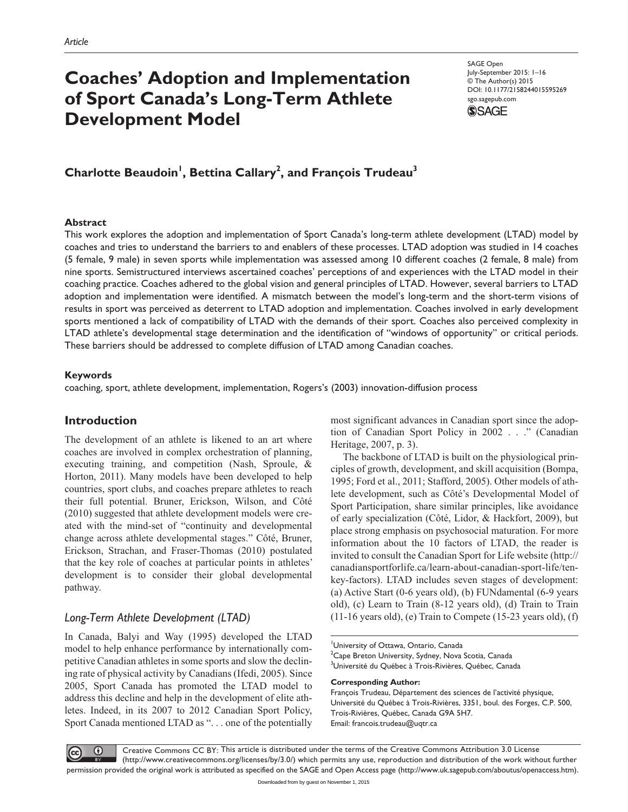# **Coaches' Adoption and Implementation of Sport Canada's Long-Term Athlete Development Model**

SAGE Open July-September 2015: 1–16 © The Author(s) 2015 DOI: 10.1177/2158244015595269 sgo.sagepub.com



## ${\sf Charlotte\ Beaudoin^1, {\sf Bettina\ Callary^2, and \ Fra**ngois Trude**au^3}$

#### **Abstract**

This work explores the adoption and implementation of Sport Canada's long-term athlete development (LTAD) model by coaches and tries to understand the barriers to and enablers of these processes. LTAD adoption was studied in 14 coaches (5 female, 9 male) in seven sports while implementation was assessed among 10 different coaches (2 female, 8 male) from nine sports. Semistructured interviews ascertained coaches' perceptions of and experiences with the LTAD model in their coaching practice. Coaches adhered to the global vision and general principles of LTAD. However, several barriers to LTAD adoption and implementation were identified. A mismatch between the model's long-term and the short-term visions of results in sport was perceived as deterrent to LTAD adoption and implementation. Coaches involved in early development sports mentioned a lack of compatibility of LTAD with the demands of their sport. Coaches also perceived complexity in LTAD athlete's developmental stage determination and the identification of "windows of opportunity" or critical periods. These barriers should be addressed to complete diffusion of LTAD among Canadian coaches.

#### **Keywords**

coaching, sport, athlete development, implementation, Rogers's (2003) innovation-diffusion process

## **Introduction**

The development of an athlete is likened to an art where coaches are involved in complex orchestration of planning, executing training, and competition (Nash, Sproule, & Horton, 2011). Many models have been developed to help countries, sport clubs, and coaches prepare athletes to reach their full potential. Bruner, Erickson, Wilson, and Côté (2010) suggested that athlete development models were created with the mind-set of "continuity and developmental change across athlete developmental stages." Côté, Bruner, Erickson, Strachan, and Fraser-Thomas (2010) postulated that the key role of coaches at particular points in athletes' development is to consider their global developmental pathway.

## *Long-Term Athlete Development (LTAD)*

In Canada, Balyi and Way (1995) developed the LTAD model to help enhance performance by internationally competitive Canadian athletes in some sports and slow the declining rate of physical activity by Canadians (Ifedi, 2005). Since 2005, Sport Canada has promoted the LTAD model to address this decline and help in the development of elite athletes. Indeed, in its 2007 to 2012 Canadian Sport Policy, Sport Canada mentioned LTAD as ". . . one of the potentially most significant advances in Canadian sport since the adoption of Canadian Sport Policy in 2002 . . ." (Canadian Heritage, 2007, p. 3).

The backbone of LTAD is built on the physiological principles of growth, development, and skill acquisition (Bompa, 1995; Ford et al., 2011; Stafford, 2005). Other models of athlete development, such as Côté's Developmental Model of Sport Participation, share similar principles, like avoidance of early specialization (Côté, Lidor, & Hackfort, 2009), but place strong emphasis on psychosocial maturation. For more information about the 10 factors of LTAD, the reader is invited to consult the Canadian Sport for Life website [\(http://](http://canadiansportforlife.ca/learn-about-canadian-sport-life/ten-key-factors) [canadiansportforlife.ca/learn-about-canadian-sport-life/ten](http://canadiansportforlife.ca/learn-about-canadian-sport-life/ten-key-factors)[key-factors](http://canadiansportforlife.ca/learn-about-canadian-sport-life/ten-key-factors)). LTAD includes seven stages of development: (a) Active Start (0-6 years old), (b) FUNdamental (6-9 years old), (c) Learn to Train (8-12 years old), (d) Train to Train  $(11-16 \text{ years old}), (e)$  Train to Compete  $(15-23 \text{ years old}), (f)$ 

University of Ottawa, Ontario, Canada  $\rm ^{2}C$ ape Breton University, Sydney, Nova Scotia, Canada <sup>3</sup>Université du Québec à Trois-Rivières, Québec, Canada

#### **Corresponding Author:**

François Trudeau, Département des sciences de l'activité physique, Université du Québec à Trois-Rivières, 3351, boul. des Forges, C.P. 500, Trois-Rivières, Québec, Canada G9A 5H7. Email: [francois.trudeau@uqtr.ca](mailto:francois.trudeau@uqtr.ca)

Creative Commons CC BY: This article is distributed under the terms of the Creative Commons Attribution 3.0 License  $\left( \cdot \right)$ (cc) (http://www.creativecommons.org/licenses/by/3.0/) which permits any use, reproduction and distribution of the work without further permission provided the original work is attributed as specified on the SAGE and Open Access page (http://www.uk.sagepub.com/aboutus/openaccess.htm).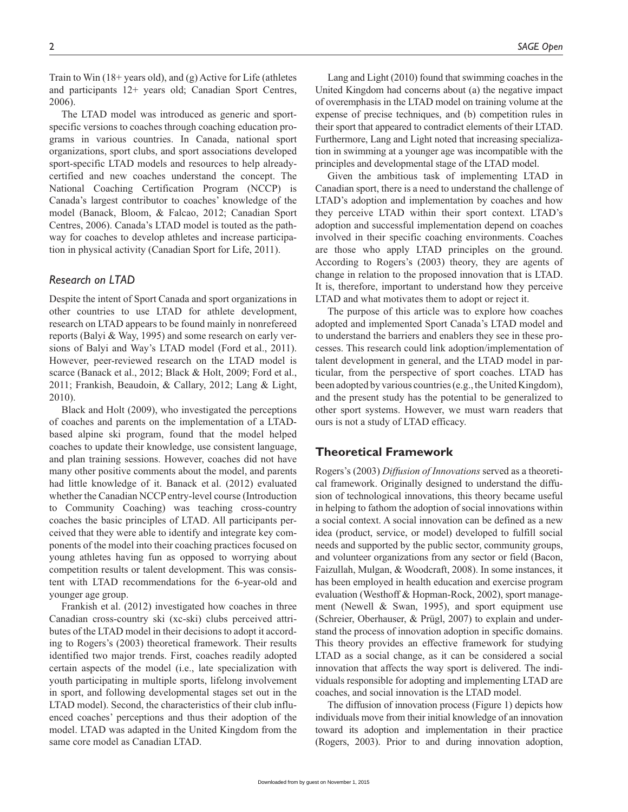2 *SAGE Open*

Train to Win (18+ years old), and (g) Active for Life (athletes and participants 12+ years old; Canadian Sport Centres, 2006).

The LTAD model was introduced as generic and sportspecific versions to coaches through coaching education programs in various countries. In Canada, national sport organizations, sport clubs, and sport associations developed sport-specific LTAD models and resources to help alreadycertified and new coaches understand the concept. The National Coaching Certification Program (NCCP) is Canada's largest contributor to coaches' knowledge of the model (Banack, Bloom, & Falcao, 2012; Canadian Sport Centres, 2006). Canada's LTAD model is touted as the pathway for coaches to develop athletes and increase participation in physical activity (Canadian Sport for Life, 2011).

## *Research on LTAD*

Despite the intent of Sport Canada and sport organizations in other countries to use LTAD for athlete development, research on LTAD appears to be found mainly in nonrefereed reports (Balyi & Way, 1995) and some research on early versions of Balyi and Way's LTAD model (Ford et al., 2011). However, peer-reviewed research on the LTAD model is scarce (Banack et al., 2012; Black & Holt, 2009; Ford et al., 2011; Frankish, Beaudoin, & Callary, 2012; Lang & Light, 2010).

Black and Holt (2009), who investigated the perceptions of coaches and parents on the implementation of a LTADbased alpine ski program, found that the model helped coaches to update their knowledge, use consistent language, and plan training sessions. However, coaches did not have many other positive comments about the model, and parents had little knowledge of it. Banack et al. (2012) evaluated whether the Canadian NCCP entry-level course (Introduction to Community Coaching) was teaching cross-country coaches the basic principles of LTAD. All participants perceived that they were able to identify and integrate key components of the model into their coaching practices focused on young athletes having fun as opposed to worrying about competition results or talent development. This was consistent with LTAD recommendations for the 6-year-old and younger age group.

Frankish et al. (2012) investigated how coaches in three Canadian cross-country ski (xc-ski) clubs perceived attributes of the LTAD model in their decisions to adopt it according to Rogers's (2003) theoretical framework. Their results identified two major trends. First, coaches readily adopted certain aspects of the model (i.e., late specialization with youth participating in multiple sports, lifelong involvement in sport, and following developmental stages set out in the LTAD model). Second, the characteristics of their club influenced coaches' perceptions and thus their adoption of the model. LTAD was adapted in the United Kingdom from the same core model as Canadian LTAD.

Lang and Light (2010) found that swimming coaches in the United Kingdom had concerns about (a) the negative impact of overemphasis in the LTAD model on training volume at the expense of precise techniques, and (b) competition rules in their sport that appeared to contradict elements of their LTAD. Furthermore, Lang and Light noted that increasing specialization in swimming at a younger age was incompatible with the principles and developmental stage of the LTAD model.

Given the ambitious task of implementing LTAD in Canadian sport, there is a need to understand the challenge of LTAD's adoption and implementation by coaches and how they perceive LTAD within their sport context. LTAD's adoption and successful implementation depend on coaches involved in their specific coaching environments. Coaches are those who apply LTAD principles on the ground. According to Rogers's (2003) theory, they are agents of change in relation to the proposed innovation that is LTAD. It is, therefore, important to understand how they perceive LTAD and what motivates them to adopt or reject it.

The purpose of this article was to explore how coaches adopted and implemented Sport Canada's LTAD model and to understand the barriers and enablers they see in these processes. This research could link adoption/implementation of talent development in general, and the LTAD model in particular, from the perspective of sport coaches. LTAD has been adopted by various countries (e.g., the United Kingdom), and the present study has the potential to be generalized to other sport systems. However, we must warn readers that ours is not a study of LTAD efficacy.

## **Theoretical Framework**

Rogers's (2003) *Diffusion of Innovations* served as a theoretical framework. Originally designed to understand the diffusion of technological innovations, this theory became useful in helping to fathom the adoption of social innovations within a social context. A social innovation can be defined as a new idea (product, service, or model) developed to fulfill social needs and supported by the public sector, community groups, and volunteer organizations from any sector or field (Bacon, Faizullah, Mulgan, & Woodcraft, 2008). In some instances, it has been employed in health education and exercise program evaluation (Westhoff & Hopman-Rock, 2002), sport management (Newell & Swan, 1995), and sport equipment use (Schreier, Oberhauser, & Prügl, 2007) to explain and understand the process of innovation adoption in specific domains. This theory provides an effective framework for studying LTAD as a social change, as it can be considered a social innovation that affects the way sport is delivered. The individuals responsible for adopting and implementing LTAD are coaches, and social innovation is the LTAD model.

The diffusion of innovation process (Figure 1) depicts how individuals move from their initial knowledge of an innovation toward its adoption and implementation in their practice (Rogers, 2003). Prior to and during innovation adoption,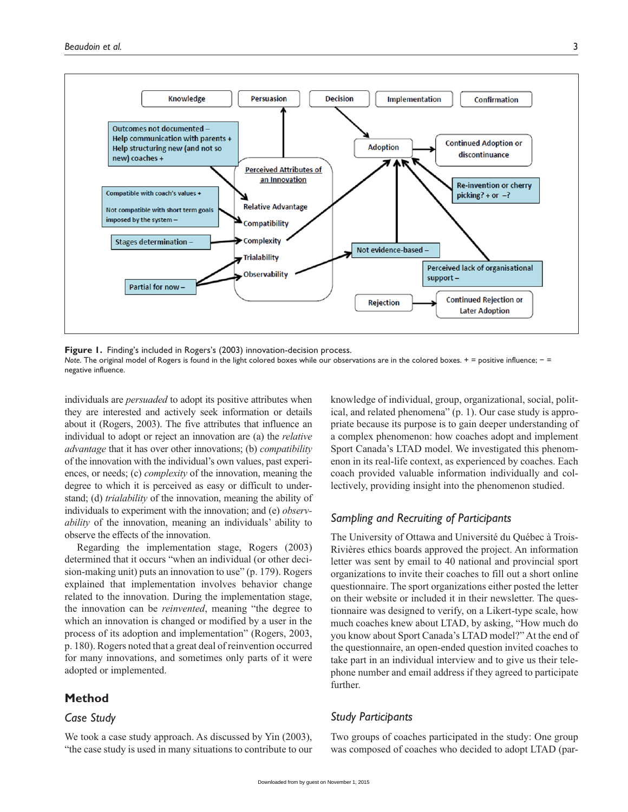

**Figure 1.** Finding's included in Rogers's (2003) innovation-decision process.

*Note*. The original model of Rogers is found in the light colored boxes while our observations are in the colored boxes. + = positive influence; − = negative influence.

individuals are *persuaded* to adopt its positive attributes when they are interested and actively seek information or details about it (Rogers, 2003). The five attributes that influence an individual to adopt or reject an innovation are (a) the *relative advantage* that it has over other innovations; (b) *compatibility* of the innovation with the individual's own values, past experiences, or needs; (c) *complexity* of the innovation, meaning the degree to which it is perceived as easy or difficult to understand; (d) *trialability* of the innovation, meaning the ability of individuals to experiment with the innovation; and (e) *observability* of the innovation, meaning an individuals' ability to observe the effects of the innovation.

Regarding the implementation stage, Rogers (2003) determined that it occurs "when an individual (or other decision-making unit) puts an innovation to use" (p. 179). Rogers explained that implementation involves behavior change related to the innovation. During the implementation stage, the innovation can be *reinvented*, meaning "the degree to which an innovation is changed or modified by a user in the process of its adoption and implementation" (Rogers, 2003, p. 180). Rogers noted that a great deal of reinvention occurred for many innovations, and sometimes only parts of it were adopted or implemented.

## **Method**

### *Case Study*

We took a case study approach. As discussed by Yin (2003), "the case study is used in many situations to contribute to our knowledge of individual, group, organizational, social, political, and related phenomena" (p. 1). Our case study is appropriate because its purpose is to gain deeper understanding of a complex phenomenon: how coaches adopt and implement Sport Canada's LTAD model. We investigated this phenomenon in its real-life context, as experienced by coaches. Each coach provided valuable information individually and collectively, providing insight into the phenomenon studied.

### *Sampling and Recruiting of Participants*

The University of Ottawa and Université du Québec à Trois-Rivières ethics boards approved the project. An information letter was sent by email to 40 national and provincial sport organizations to invite their coaches to fill out a short online questionnaire. The sport organizations either posted the letter on their website or included it in their newsletter. The questionnaire was designed to verify, on a Likert-type scale, how much coaches knew about LTAD, by asking, "How much do you know about Sport Canada's LTAD model?" At the end of the questionnaire, an open-ended question invited coaches to take part in an individual interview and to give us their telephone number and email address if they agreed to participate further.

## *Study Participants*

Two groups of coaches participated in the study: One group was composed of coaches who decided to adopt LTAD (par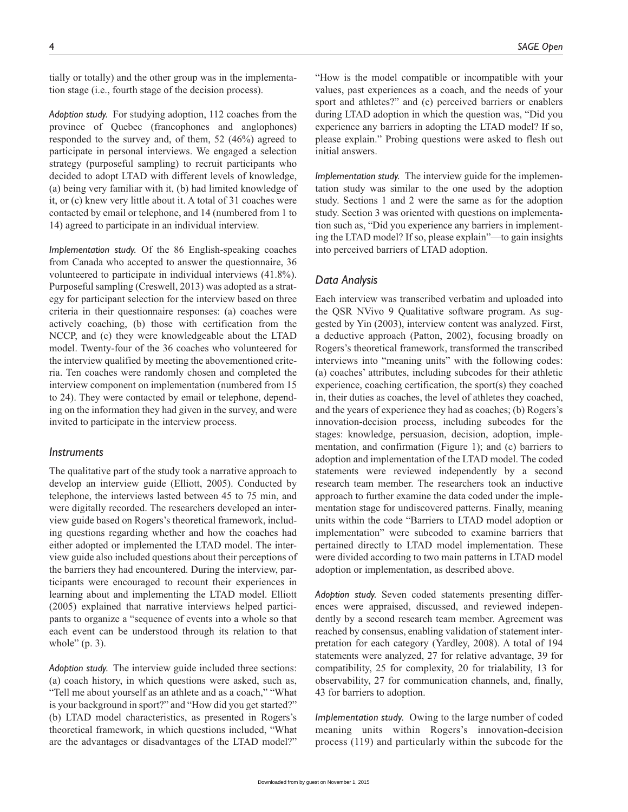tially or totally) and the other group was in the implementation stage (i.e., fourth stage of the decision process).

*Adoption study.* For studying adoption, 112 coaches from the province of Quebec (francophones and anglophones) responded to the survey and, of them, 52 (46%) agreed to participate in personal interviews. We engaged a selection strategy (purposeful sampling) to recruit participants who decided to adopt LTAD with different levels of knowledge, (a) being very familiar with it, (b) had limited knowledge of it, or (c) knew very little about it. A total of 31 coaches were contacted by email or telephone, and 14 (numbered from 1 to 14) agreed to participate in an individual interview.

*Implementation study.* Of the 86 English-speaking coaches from Canada who accepted to answer the questionnaire, 36 volunteered to participate in individual interviews (41.8%). Purposeful sampling (Creswell, 2013) was adopted as a strategy for participant selection for the interview based on three criteria in their questionnaire responses: (a) coaches were actively coaching, (b) those with certification from the NCCP, and (c) they were knowledgeable about the LTAD model. Twenty-four of the 36 coaches who volunteered for the interview qualified by meeting the abovementioned criteria. Ten coaches were randomly chosen and completed the interview component on implementation (numbered from 15 to 24). They were contacted by email or telephone, depending on the information they had given in the survey, and were invited to participate in the interview process.

#### *Instruments*

The qualitative part of the study took a narrative approach to develop an interview guide (Elliott, 2005). Conducted by telephone, the interviews lasted between 45 to 75 min, and were digitally recorded. The researchers developed an interview guide based on Rogers's theoretical framework, including questions regarding whether and how the coaches had either adopted or implemented the LTAD model. The interview guide also included questions about their perceptions of the barriers they had encountered. During the interview, participants were encouraged to recount their experiences in learning about and implementing the LTAD model. Elliott (2005) explained that narrative interviews helped participants to organize a "sequence of events into a whole so that each event can be understood through its relation to that whole" (p. 3).

*Adoption study.* The interview guide included three sections: (a) coach history, in which questions were asked, such as, "Tell me about yourself as an athlete and as a coach," "What is your background in sport?" and "How did you get started?" (b) LTAD model characteristics, as presented in Rogers's theoretical framework, in which questions included, "What are the advantages or disadvantages of the LTAD model?"

sport and athletes?" and (c) perceived barriers or enablers during LTAD adoption in which the question was, "Did you experience any barriers in adopting the LTAD model? If so, please explain." Probing questions were asked to flesh out initial answers.

*Implementation study.* The interview guide for the implementation study was similar to the one used by the adoption study. Sections 1 and 2 were the same as for the adoption study. Section 3 was oriented with questions on implementation such as, "Did you experience any barriers in implementing the LTAD model? If so, please explain"—to gain insights into perceived barriers of LTAD adoption.

#### *Data Analysis*

Each interview was transcribed verbatim and uploaded into the QSR NVivo 9 Qualitative software program. As suggested by Yin (2003), interview content was analyzed. First, a deductive approach (Patton, 2002), focusing broadly on Rogers's theoretical framework, transformed the transcribed interviews into "meaning units" with the following codes: (a) coaches' attributes, including subcodes for their athletic experience, coaching certification, the sport(s) they coached in, their duties as coaches, the level of athletes they coached, and the years of experience they had as coaches; (b) Rogers's innovation-decision process, including subcodes for the stages: knowledge, persuasion, decision, adoption, implementation, and confirmation (Figure 1); and (c) barriers to adoption and implementation of the LTAD model. The coded statements were reviewed independently by a second research team member. The researchers took an inductive approach to further examine the data coded under the implementation stage for undiscovered patterns. Finally, meaning units within the code "Barriers to LTAD model adoption or implementation" were subcoded to examine barriers that pertained directly to LTAD model implementation. These were divided according to two main patterns in LTAD model adoption or implementation, as described above.

*Adoption study.* Seven coded statements presenting differences were appraised, discussed, and reviewed independently by a second research team member. Agreement was reached by consensus, enabling validation of statement interpretation for each category (Yardley, 2008). A total of 194 statements were analyzed, 27 for relative advantage, 39 for compatibility, 25 for complexity, 20 for trialability, 13 for observability, 27 for communication channels, and, finally, 43 for barriers to adoption.

*Implementation study.* Owing to the large number of coded meaning units within Rogers's innovation-decision process (119) and particularly within the subcode for the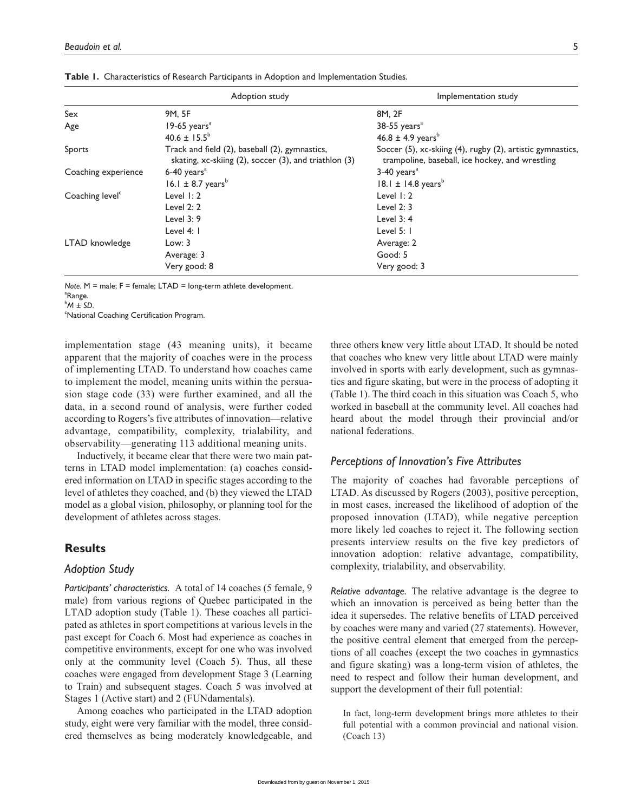|                             | Adoption study                                                                                          | Implementation study                                                                                          |
|-----------------------------|---------------------------------------------------------------------------------------------------------|---------------------------------------------------------------------------------------------------------------|
| Sex                         | 9M. 5F                                                                                                  | 8M, 2F                                                                                                        |
| Age                         | $19-65$ years <sup>a</sup>                                                                              | $38-55$ years <sup>a</sup>                                                                                    |
|                             | $40.6 \pm 15.5^b$                                                                                       | $46.8 \pm 4.9 \text{ years}^b$                                                                                |
| Sports                      | Track and field (2), baseball (2), gymnastics,<br>skating, xc-skiing (2), soccer (3), and triathlon (3) | Soccer (5), xc-skiing (4), rugby (2), artistic gymnastics,<br>trampoline, baseball, ice hockey, and wrestling |
| Coaching experience         | $6-40$ years <sup>a</sup>                                                                               | $3-40$ years <sup>a</sup>                                                                                     |
|                             | 16.1 $\pm$ 8.7 years <sup>b</sup>                                                                       | 18.1 $\pm$ 14.8 years <sup>b</sup>                                                                            |
| Coaching level <sup>c</sup> | Level $1:2$                                                                                             | Level $1:2$                                                                                                   |
|                             | Level $2:2$                                                                                             | Level $2:3$                                                                                                   |
|                             | Level $3:9$                                                                                             | Level $3:4$                                                                                                   |
|                             | Level $4:1$                                                                                             | Level $5:1$                                                                                                   |
| LTAD knowledge              | Low: $3$                                                                                                | Average: 2                                                                                                    |
|                             | Average: 3                                                                                              | Good: 5                                                                                                       |
|                             | Very good: 8                                                                                            | Very good: 3                                                                                                  |

**Table 1.** Characteristics of Research Participants in Adoption and Implementation Studies.

*Note*. M = male; F = female; LTAD = long-term athlete development. <sup>a</sup>Range.

<sup>c</sup>National Coaching Certification Program.

implementation stage (43 meaning units), it became apparent that the majority of coaches were in the process of implementing LTAD. To understand how coaches came to implement the model, meaning units within the persuasion stage code (33) were further examined, and all the data, in a second round of analysis, were further coded according to Rogers's five attributes of innovation—relative advantage, compatibility, complexity, trialability, and observability—generating 113 additional meaning units.

Inductively, it became clear that there were two main patterns in LTAD model implementation: (a) coaches considered information on LTAD in specific stages according to the level of athletes they coached, and (b) they viewed the LTAD model as a global vision, philosophy, or planning tool for the development of athletes across stages.

## **Results**

#### *Adoption Study*

*Participants' characteristics.* A total of 14 coaches (5 female, 9 male) from various regions of Quebec participated in the LTAD adoption study (Table 1). These coaches all participated as athletes in sport competitions at various levels in the past except for Coach 6. Most had experience as coaches in competitive environments, except for one who was involved only at the community level (Coach 5). Thus, all these coaches were engaged from development Stage 3 (Learning to Train) and subsequent stages. Coach 5 was involved at Stages 1 (Active start) and 2 (FUNdamentals).

Among coaches who participated in the LTAD adoption study, eight were very familiar with the model, three considered themselves as being moderately knowledgeable, and

three others knew very little about LTAD. It should be noted that coaches who knew very little about LTAD were mainly involved in sports with early development, such as gymnastics and figure skating, but were in the process of adopting it (Table 1). The third coach in this situation was Coach 5, who worked in baseball at the community level. All coaches had heard about the model through their provincial and/or national federations.

#### *Perceptions of Innovation's Five Attributes*

The majority of coaches had favorable perceptions of LTAD. As discussed by Rogers (2003), positive perception, in most cases, increased the likelihood of adoption of the proposed innovation (LTAD), while negative perception more likely led coaches to reject it. The following section presents interview results on the five key predictors of innovation adoption: relative advantage, compatibility, complexity, trialability, and observability.

*Relative advantage.* The relative advantage is the degree to which an innovation is perceived as being better than the idea it supersedes. The relative benefits of LTAD perceived by coaches were many and varied (27 statements). However, the positive central element that emerged from the perceptions of all coaches (except the two coaches in gymnastics and figure skating) was a long-term vision of athletes, the need to respect and follow their human development, and support the development of their full potential:

In fact, long-term development brings more athletes to their full potential with a common provincial and national vision. (Coach 13)

b *M* ± *SD*.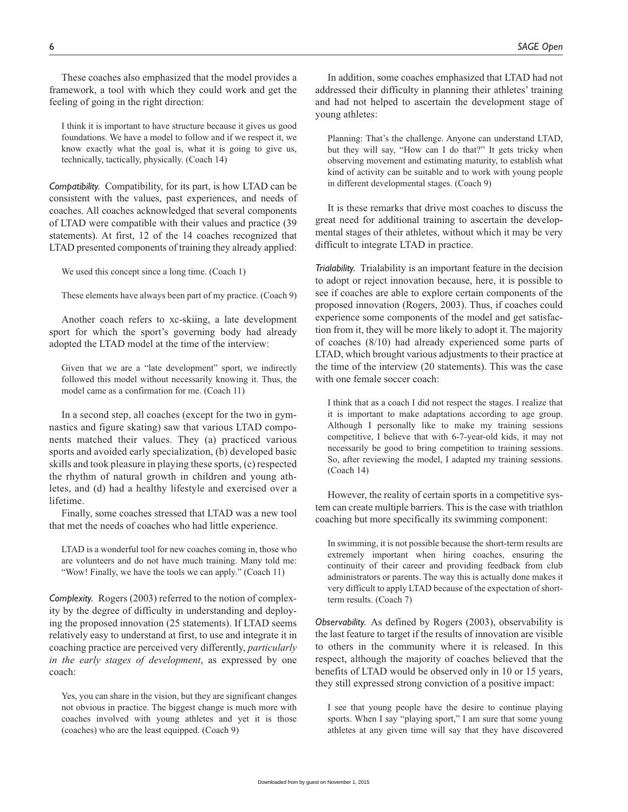These coaches also emphasized that the model provides a framework, a tool with which they could work and get the feeling of going in the right direction:

I think it is important to have structure because it gives us good foundations. We have a model to follow and if we respect it, we know exactly what the goal is, what it is going to give us, technically, tactically, physically. (Coach 14)

*Compatibility.* Compatibility, for its part, is how LTAD can be consistent with the values, past experiences, and needs of coaches. All coaches acknowledged that several components of LTAD were compatible with their values and practice (39 statements). At first, 12 of the 14 coaches recognized that LTAD presented components of training they already applied:

We used this concept since a long time. (Coach 1)

These elements have always been part of my practice. (Coach 9)

Another coach refers to xc-skiing, a late development sport for which the sport's governing body had already adopted the LTAD model at the time of the interview:

Given that we are a "late development" sport, we indirectly followed this model without necessarily knowing it. Thus, the model came as a confirmation for me. (Coach 11)

In a second step, all coaches (except for the two in gymnastics and figure skating) saw that various LTAD components matched their values. They (a) practiced various sports and avoided early specialization, (b) developed basic skills and took pleasure in playing these sports, (c) respected the rhythm of natural growth in children and young athletes, and (d) had a healthy lifestyle and exercised over a lifetime.

Finally, some coaches stressed that LTAD was a new tool that met the needs of coaches who had little experience.

LTAD is a wonderful tool for new coaches coming in, those who are volunteers and do not have much training. Many told me: "Wow! Finally, we have the tools we can apply." (Coach 11)

*Complexity.* Rogers (2003) referred to the notion of complexity by the degree of difficulty in understanding and deploying the proposed innovation (25 statements). If LTAD seems relatively easy to understand at first, to use and integrate it in coaching practice are perceived very differently, *particularly in the early stages of development*, as expressed by one coach:

Yes, you can share in the vision, but they are significant changes not obvious in practice. The biggest change is much more with coaches involved with young athletes and yet it is those (coaches) who are the least equipped. (Coach 9)

In addition, some coaches emphasized that LTAD had not addressed their difficulty in planning their athletes' training and had not helped to ascertain the development stage of young athletes:

Planning: That's the challenge. Anyone can understand LTAD, but they will say, "How can I do that?" It gets tricky when observing movement and estimating maturity, to establish what kind of activity can be suitable and to work with young people in different developmental stages. (Coach 9)

It is these remarks that drive most coaches to discuss the great need for additional training to ascertain the developmental stages of their athletes, without which it may be very difficult to integrate LTAD in practice.

*Trialability.* Trialability is an important feature in the decision to adopt or reject innovation because, here, it is possible to see if coaches are able to explore certain components of the proposed innovation (Rogers, 2003). Thus, if coaches could experience some components of the model and get satisfaction from it, they will be more likely to adopt it. The majority of coaches (8/10) had already experienced some parts of LTAD, which brought various adjustments to their practice at the time of the interview (20 statements). This was the case with one female soccer coach:

I think that as a coach I did not respect the stages. I realize that it is important to make adaptations according to age group. Although I personally like to make my training sessions competitive, I believe that with 6-7-year-old kids, it may not necessarily be good to bring competition to training sessions. So, after reviewing the model, I adapted my training sessions. (Coach 14)

However, the reality of certain sports in a competitive system can create multiple barriers. This is the case with triathlon coaching but more specifically its swimming component:

In swimming, it is not possible because the short-term results are extremely important when hiring coaches, ensuring the continuity of their career and providing feedback from club administrators or parents. The way this is actually done makes it very difficult to apply LTAD because of the expectation of shortterm results. (Coach 7)

*Observability.* As defined by Rogers (2003), observability is the last feature to target if the results of innovation are visible to others in the community where it is released. In this respect, although the majority of coaches believed that the benefits of LTAD would be observed only in 10 or 15 years, they still expressed strong conviction of a positive impact:

I see that young people have the desire to continue playing sports. When I say "playing sport," I am sure that some young athletes at any given time will say that they have discovered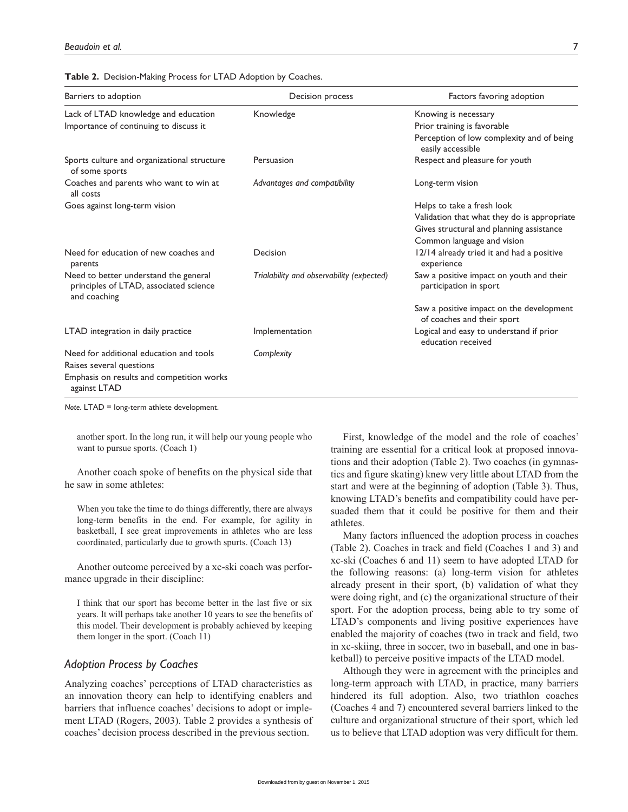|  |  |  |  | Table 2. Decision-Making Process for LTAD Adoption by Coaches. |
|--|--|--|--|----------------------------------------------------------------|
|--|--|--|--|----------------------------------------------------------------|

| Barriers to adoption                                                                            | Decision process                          | Factors favoring adoption                                              |
|-------------------------------------------------------------------------------------------------|-------------------------------------------|------------------------------------------------------------------------|
| Lack of LTAD knowledge and education                                                            | Knowledge                                 | Knowing is necessary                                                   |
| Importance of continuing to discuss it                                                          |                                           | Prior training is favorable                                            |
|                                                                                                 |                                           | Perception of low complexity and of being<br>easily accessible         |
| Sports culture and organizational structure<br>of some sports                                   | Persuasion                                | Respect and pleasure for youth                                         |
| Coaches and parents who want to win at<br>all costs                                             | Advantages and compatibility              | Long-term vision                                                       |
| Goes against long-term vision                                                                   |                                           | Helps to take a fresh look                                             |
|                                                                                                 |                                           | Validation that what they do is appropriate                            |
|                                                                                                 |                                           | Gives structural and planning assistance                               |
|                                                                                                 |                                           | Common language and vision                                             |
| Need for education of new coaches and<br>parents                                                | Decision                                  | 12/14 already tried it and had a positive<br>experience                |
| Need to better understand the general<br>principles of LTAD, associated science<br>and coaching | Trialability and observability (expected) | Saw a positive impact on youth and their<br>participation in sport     |
|                                                                                                 |                                           | Saw a positive impact on the development<br>of coaches and their sport |
| LTAD integration in daily practice                                                              | Implementation                            | Logical and easy to understand if prior<br>education received          |
| Need for additional education and tools                                                         | Complexity                                |                                                                        |
| Raises several questions                                                                        |                                           |                                                                        |
| Emphasis on results and competition works<br>against LTAD                                       |                                           |                                                                        |

*Note*. LTAD = long-term athlete development.

another sport. In the long run, it will help our young people who want to pursue sports. (Coach 1)

Another coach spoke of benefits on the physical side that he saw in some athletes:

When you take the time to do things differently, there are always long-term benefits in the end. For example, for agility in basketball, I see great improvements in athletes who are less coordinated, particularly due to growth spurts. (Coach 13)

Another outcome perceived by a xc-ski coach was performance upgrade in their discipline:

I think that our sport has become better in the last five or six years. It will perhaps take another 10 years to see the benefits of this model. Their development is probably achieved by keeping them longer in the sport. (Coach 11)

#### *Adoption Process by Coaches*

Analyzing coaches' perceptions of LTAD characteristics as an innovation theory can help to identifying enablers and barriers that influence coaches' decisions to adopt or implement LTAD (Rogers, 2003). Table 2 provides a synthesis of coaches' decision process described in the previous section.

First, knowledge of the model and the role of coaches' training are essential for a critical look at proposed innovations and their adoption (Table 2). Two coaches (in gymnastics and figure skating) knew very little about LTAD from the start and were at the beginning of adoption (Table 3). Thus, knowing LTAD's benefits and compatibility could have persuaded them that it could be positive for them and their athletes.

Many factors influenced the adoption process in coaches (Table 2). Coaches in track and field (Coaches 1 and 3) and xc-ski (Coaches 6 and 11) seem to have adopted LTAD for the following reasons: (a) long-term vision for athletes already present in their sport, (b) validation of what they were doing right, and (c) the organizational structure of their sport. For the adoption process, being able to try some of LTAD's components and living positive experiences have enabled the majority of coaches (two in track and field, two in xc-skiing, three in soccer, two in baseball, and one in basketball) to perceive positive impacts of the LTAD model.

Although they were in agreement with the principles and long-term approach with LTAD, in practice, many barriers hindered its full adoption. Also, two triathlon coaches (Coaches 4 and 7) encountered several barriers linked to the culture and organizational structure of their sport, which led us to believe that LTAD adoption was very difficult for them.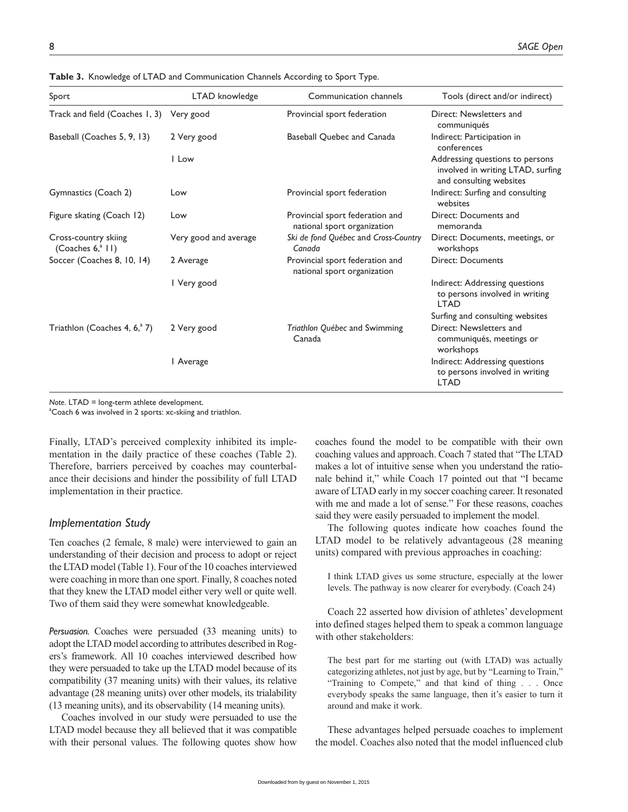| Sport                                        | LTAD knowledge        | Communication channels                                         | Tools (direct and/or indirect)                                                                  |
|----------------------------------------------|-----------------------|----------------------------------------------------------------|-------------------------------------------------------------------------------------------------|
| Track and field (Coaches 1, 3) Very good     |                       | Provincial sport federation                                    | Direct: Newsletters and<br>communiqués                                                          |
| Baseball (Coaches 5, 9, 13)                  | 2 Very good           | <b>Baseball Ouebec and Canada</b>                              | Indirect: Participation in<br>conferences                                                       |
|                                              | I Low                 |                                                                | Addressing questions to persons<br>involved in writing LTAD, surfing<br>and consulting websites |
| Gymnastics (Coach 2)                         | Low                   | Provincial sport federation                                    | Indirect: Surfing and consulting<br>websites                                                    |
| Figure skating (Coach 12)                    | Low                   | Provincial sport federation and<br>national sport organization | Direct: Documents and<br>memoranda                                                              |
| Cross-country skiing<br>(Coaches $6,^a$    ) | Very good and average | Ski de fond Québec and Cross-Country<br>Canada                 | Direct: Documents, meetings, or<br>workshops                                                    |
| Soccer (Coaches 8, 10, 14)                   | 2 Average             | Provincial sport federation and<br>national sport organization | <b>Direct: Documents</b>                                                                        |
|                                              | I Very good           |                                                                | Indirect: Addressing questions<br>to persons involved in writing<br><b>LTAD</b>                 |
|                                              |                       |                                                                | Surfing and consulting websites                                                                 |
| Triathlon (Coaches 4, 6, <sup>a</sup> 7)     | 2 Very good           | Triathlon Québec and Swimming<br>Canada                        | Direct: Newsletters and<br>communiqués, meetings or<br>workshops                                |
|                                              | I Average             |                                                                | Indirect: Addressing questions<br>to persons involved in writing<br><b>LTAD</b>                 |

**Table 3.** Knowledge of LTAD and Communication Channels According to Sport Type.

*Note*. LTAD = long-term athlete development.

<sup>a</sup> Coach 6 was involved in 2 sports: xc-skiing and triathlon.

Finally, LTAD's perceived complexity inhibited its implementation in the daily practice of these coaches (Table 2). Therefore, barriers perceived by coaches may counterbalance their decisions and hinder the possibility of full LTAD implementation in their practice.

#### *Implementation Study*

Ten coaches (2 female, 8 male) were interviewed to gain an understanding of their decision and process to adopt or reject the LTAD model (Table 1). Four of the 10 coaches interviewed were coaching in more than one sport. Finally, 8 coaches noted that they knew the LTAD model either very well or quite well. Two of them said they were somewhat knowledgeable.

*Persuasion.* Coaches were persuaded (33 meaning units) to adopt the LTAD model according to attributes described in Rogers's framework. All 10 coaches interviewed described how they were persuaded to take up the LTAD model because of its compatibility (37 meaning units) with their values, its relative advantage (28 meaning units) over other models, its trialability (13 meaning units), and its observability (14 meaning units).

Coaches involved in our study were persuaded to use the LTAD model because they all believed that it was compatible with their personal values. The following quotes show how

coaches found the model to be compatible with their own coaching values and approach. Coach 7 stated that "The LTAD makes a lot of intuitive sense when you understand the rationale behind it," while Coach 17 pointed out that "I became aware of LTAD early in my soccer coaching career. It resonated with me and made a lot of sense." For these reasons, coaches said they were easily persuaded to implement the model.

The following quotes indicate how coaches found the LTAD model to be relatively advantageous (28 meaning units) compared with previous approaches in coaching:

I think LTAD gives us some structure, especially at the lower levels. The pathway is now clearer for everybody. (Coach 24)

Coach 22 asserted how division of athletes' development into defined stages helped them to speak a common language with other stakeholders:

The best part for me starting out (with LTAD) was actually categorizing athletes, not just by age, but by "Learning to Train," "Training to Compete," and that kind of thing . . . Once everybody speaks the same language, then it's easier to turn it around and make it work.

These advantages helped persuade coaches to implement the model. Coaches also noted that the model influenced club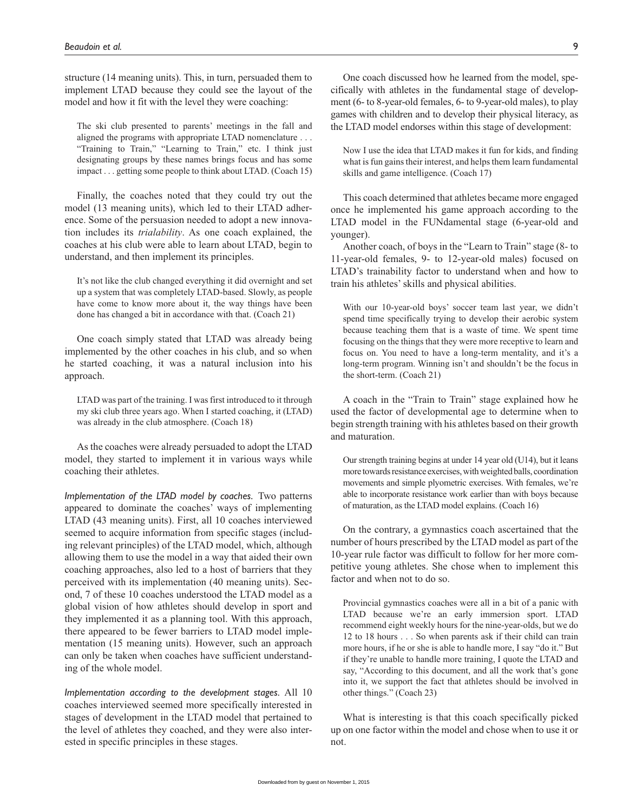structure (14 meaning units). This, in turn, persuaded them to implement LTAD because they could see the layout of the model and how it fit with the level they were coaching:

The ski club presented to parents' meetings in the fall and aligned the programs with appropriate LTAD nomenclature . . . "Training to Train," "Learning to Train," etc. I think just designating groups by these names brings focus and has some impact . . . getting some people to think about LTAD. (Coach 15)

Finally, the coaches noted that they could try out the model (13 meaning units), which led to their LTAD adherence. Some of the persuasion needed to adopt a new innovation includes its *trialability*. As one coach explained, the coaches at his club were able to learn about LTAD, begin to understand, and then implement its principles.

It's not like the club changed everything it did overnight and set up a system that was completely LTAD-based. Slowly, as people have come to know more about it, the way things have been done has changed a bit in accordance with that. (Coach 21)

One coach simply stated that LTAD was already being implemented by the other coaches in his club, and so when he started coaching, it was a natural inclusion into his approach.

LTAD was part of the training. I was first introduced to it through my ski club three years ago. When I started coaching, it (LTAD) was already in the club atmosphere. (Coach 18)

As the coaches were already persuaded to adopt the LTAD model, they started to implement it in various ways while coaching their athletes.

*Implementation of the LTAD model by coaches.* Two patterns appeared to dominate the coaches' ways of implementing LTAD (43 meaning units). First, all 10 coaches interviewed seemed to acquire information from specific stages (including relevant principles) of the LTAD model, which, although allowing them to use the model in a way that aided their own coaching approaches, also led to a host of barriers that they perceived with its implementation (40 meaning units). Second, 7 of these 10 coaches understood the LTAD model as a global vision of how athletes should develop in sport and they implemented it as a planning tool. With this approach, there appeared to be fewer barriers to LTAD model implementation (15 meaning units). However, such an approach can only be taken when coaches have sufficient understanding of the whole model.

*Implementation according to the development stages.* All 10 coaches interviewed seemed more specifically interested in stages of development in the LTAD model that pertained to the level of athletes they coached, and they were also interested in specific principles in these stages.

One coach discussed how he learned from the model, specifically with athletes in the fundamental stage of development (6- to 8-year-old females, 6- to 9-year-old males), to play games with children and to develop their physical literacy, as the LTAD model endorses within this stage of development:

Now I use the idea that LTAD makes it fun for kids, and finding what is fun gains their interest, and helps them learn fundamental skills and game intelligence. (Coach 17)

This coach determined that athletes became more engaged once he implemented his game approach according to the LTAD model in the FUNdamental stage (6-year-old and younger).

Another coach, of boys in the "Learn to Train" stage (8- to 11-year-old females, 9- to 12-year-old males) focused on LTAD's trainability factor to understand when and how to train his athletes' skills and physical abilities.

With our 10-year-old boys' soccer team last year, we didn't spend time specifically trying to develop their aerobic system because teaching them that is a waste of time. We spent time focusing on the things that they were more receptive to learn and focus on. You need to have a long-term mentality, and it's a long-term program. Winning isn't and shouldn't be the focus in the short-term. (Coach 21)

A coach in the "Train to Train" stage explained how he used the factor of developmental age to determine when to begin strength training with his athletes based on their growth and maturation.

Our strength training begins at under 14 year old (U14), but it leans more towards resistance exercises, with weighted balls, coordination movements and simple plyometric exercises. With females, we're able to incorporate resistance work earlier than with boys because of maturation, as the LTAD model explains. (Coach 16)

On the contrary, a gymnastics coach ascertained that the number of hours prescribed by the LTAD model as part of the 10-year rule factor was difficult to follow for her more competitive young athletes. She chose when to implement this factor and when not to do so.

Provincial gymnastics coaches were all in a bit of a panic with LTAD because we're an early immersion sport. LTAD recommend eight weekly hours for the nine-year-olds, but we do 12 to 18 hours . . . So when parents ask if their child can train more hours, if he or she is able to handle more, I say "do it." But if they're unable to handle more training, I quote the LTAD and say, "According to this document, and all the work that's gone into it, we support the fact that athletes should be involved in other things." (Coach 23)

What is interesting is that this coach specifically picked up on one factor within the model and chose when to use it or not.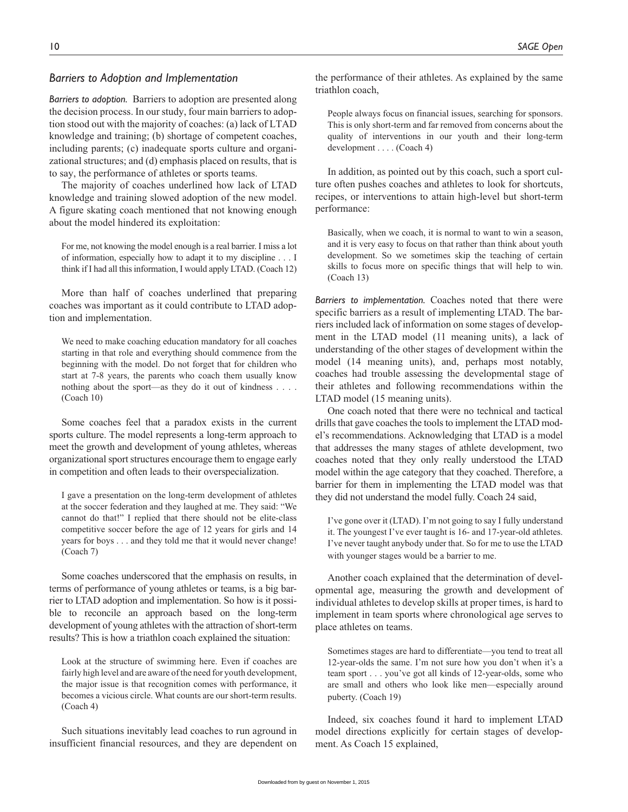## *Barriers to Adoption and Implementation*

*Barriers to adoption.* Barriers to adoption are presented along the decision process. In our study, four main barriers to adoption stood out with the majority of coaches: (a) lack of LTAD knowledge and training; (b) shortage of competent coaches, including parents; (c) inadequate sports culture and organizational structures; and (d) emphasis placed on results, that is to say, the performance of athletes or sports teams.

The majority of coaches underlined how lack of LTAD knowledge and training slowed adoption of the new model. A figure skating coach mentioned that not knowing enough about the model hindered its exploitation:

For me, not knowing the model enough is a real barrier. I miss a lot of information, especially how to adapt it to my discipline . . . I think if I had all this information, I would apply LTAD. (Coach 12)

More than half of coaches underlined that preparing coaches was important as it could contribute to LTAD adoption and implementation.

We need to make coaching education mandatory for all coaches starting in that role and everything should commence from the beginning with the model. Do not forget that for children who start at 7-8 years, the parents who coach them usually know nothing about the sport—as they do it out of kindness . . . . (Coach 10)

Some coaches feel that a paradox exists in the current sports culture. The model represents a long-term approach to meet the growth and development of young athletes, whereas organizational sport structures encourage them to engage early in competition and often leads to their overspecialization.

I gave a presentation on the long-term development of athletes at the soccer federation and they laughed at me. They said: "We cannot do that!" I replied that there should not be elite-class competitive soccer before the age of 12 years for girls and 14 years for boys . . . and they told me that it would never change! (Coach 7)

Some coaches underscored that the emphasis on results, in terms of performance of young athletes or teams, is a big barrier to LTAD adoption and implementation. So how is it possible to reconcile an approach based on the long-term development of young athletes with the attraction of short-term results? This is how a triathlon coach explained the situation:

Look at the structure of swimming here. Even if coaches are fairly high level and are aware of the need for youth development, the major issue is that recognition comes with performance, it becomes a vicious circle. What counts are our short-term results. (Coach 4)

Such situations inevitably lead coaches to run aground in insufficient financial resources, and they are dependent on

the performance of their athletes. As explained by the same triathlon coach,

People always focus on financial issues, searching for sponsors. This is only short-term and far removed from concerns about the quality of interventions in our youth and their long-term development . . . . (Coach 4)

In addition, as pointed out by this coach, such a sport culture often pushes coaches and athletes to look for shortcuts, recipes, or interventions to attain high-level but short-term performance:

Basically, when we coach, it is normal to want to win a season, and it is very easy to focus on that rather than think about youth development. So we sometimes skip the teaching of certain skills to focus more on specific things that will help to win. (Coach 13)

*Barriers to implementation.* Coaches noted that there were specific barriers as a result of implementing LTAD. The barriers included lack of information on some stages of development in the LTAD model (11 meaning units), a lack of understanding of the other stages of development within the model (14 meaning units), and, perhaps most notably, coaches had trouble assessing the developmental stage of their athletes and following recommendations within the LTAD model (15 meaning units).

One coach noted that there were no technical and tactical drills that gave coaches the tools to implement the LTAD model's recommendations. Acknowledging that LTAD is a model that addresses the many stages of athlete development, two coaches noted that they only really understood the LTAD model within the age category that they coached. Therefore, a barrier for them in implementing the LTAD model was that they did not understand the model fully. Coach 24 said,

I've gone over it (LTAD). I'm not going to say I fully understand it. The youngest I've ever taught is 16- and 17-year-old athletes. I've never taught anybody under that. So for me to use the LTAD with younger stages would be a barrier to me.

Another coach explained that the determination of developmental age, measuring the growth and development of individual athletes to develop skills at proper times, is hard to implement in team sports where chronological age serves to place athletes on teams.

Sometimes stages are hard to differentiate—you tend to treat all 12-year-olds the same. I'm not sure how you don't when it's a team sport . . . you've got all kinds of 12-year-olds, some who are small and others who look like men—especially around puberty. (Coach 19)

Indeed, six coaches found it hard to implement LTAD model directions explicitly for certain stages of development. As Coach 15 explained,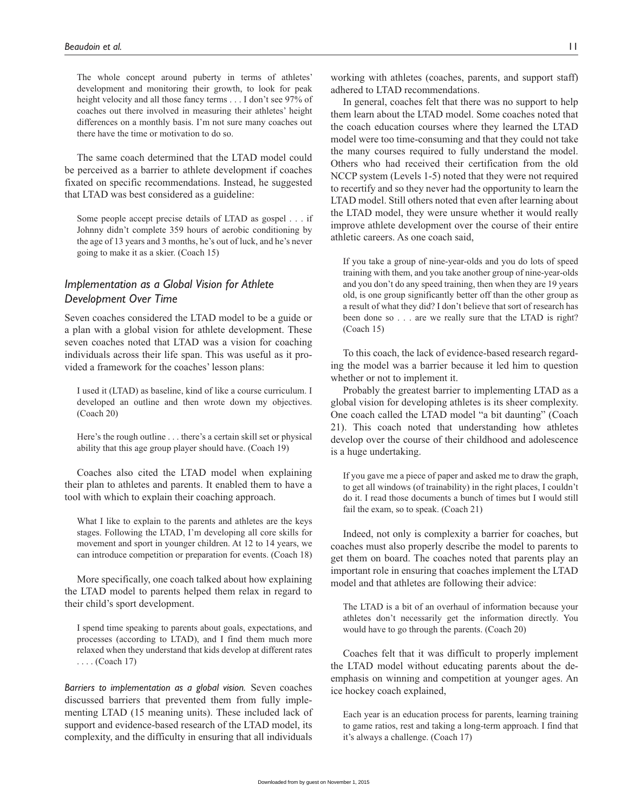The whole concept around puberty in terms of athletes' development and monitoring their growth, to look for peak height velocity and all those fancy terms . . . I don't see 97% of coaches out there involved in measuring their athletes' height differences on a monthly basis. I'm not sure many coaches out there have the time or motivation to do so.

The same coach determined that the LTAD model could be perceived as a barrier to athlete development if coaches fixated on specific recommendations. Instead, he suggested that LTAD was best considered as a guideline:

Some people accept precise details of LTAD as gospel . . . if Johnny didn't complete 359 hours of aerobic conditioning by the age of 13 years and 3 months, he's out of luck, and he's never going to make it as a skier. (Coach 15)

## *Implementation as a Global Vision for Athlete Development Over Time*

Seven coaches considered the LTAD model to be a guide or a plan with a global vision for athlete development. These seven coaches noted that LTAD was a vision for coaching individuals across their life span. This was useful as it provided a framework for the coaches' lesson plans:

I used it (LTAD) as baseline, kind of like a course curriculum. I developed an outline and then wrote down my objectives. (Coach 20)

Here's the rough outline . . . there's a certain skill set or physical ability that this age group player should have. (Coach 19)

Coaches also cited the LTAD model when explaining their plan to athletes and parents. It enabled them to have a tool with which to explain their coaching approach.

What I like to explain to the parents and athletes are the keys stages. Following the LTAD, I'm developing all core skills for movement and sport in younger children. At 12 to 14 years, we can introduce competition or preparation for events. (Coach 18)

More specifically, one coach talked about how explaining the LTAD model to parents helped them relax in regard to their child's sport development.

I spend time speaking to parents about goals, expectations, and processes (according to LTAD), and I find them much more relaxed when they understand that kids develop at different rates . . . . (Coach 17)

*Barriers to implementation as a global vision.* Seven coaches discussed barriers that prevented them from fully implementing LTAD (15 meaning units). These included lack of support and evidence-based research of the LTAD model, its complexity, and the difficulty in ensuring that all individuals working with athletes (coaches, parents, and support staff) adhered to LTAD recommendations.

In general, coaches felt that there was no support to help them learn about the LTAD model. Some coaches noted that the coach education courses where they learned the LTAD model were too time-consuming and that they could not take the many courses required to fully understand the model. Others who had received their certification from the old NCCP system (Levels 1-5) noted that they were not required to recertify and so they never had the opportunity to learn the LTAD model. Still others noted that even after learning about the LTAD model, they were unsure whether it would really improve athlete development over the course of their entire athletic careers. As one coach said,

If you take a group of nine-year-olds and you do lots of speed training with them, and you take another group of nine-year-olds and you don't do any speed training, then when they are 19 years old, is one group significantly better off than the other group as a result of what they did? I don't believe that sort of research has been done so . . . are we really sure that the LTAD is right? (Coach 15)

To this coach, the lack of evidence-based research regarding the model was a barrier because it led him to question whether or not to implement it.

Probably the greatest barrier to implementing LTAD as a global vision for developing athletes is its sheer complexity. One coach called the LTAD model "a bit daunting" (Coach 21). This coach noted that understanding how athletes develop over the course of their childhood and adolescence is a huge undertaking.

If you gave me a piece of paper and asked me to draw the graph, to get all windows (of trainability) in the right places, I couldn't do it. I read those documents a bunch of times but I would still fail the exam, so to speak. (Coach 21)

Indeed, not only is complexity a barrier for coaches, but coaches must also properly describe the model to parents to get them on board. The coaches noted that parents play an important role in ensuring that coaches implement the LTAD model and that athletes are following their advice:

The LTAD is a bit of an overhaul of information because your athletes don't necessarily get the information directly. You would have to go through the parents. (Coach 20)

Coaches felt that it was difficult to properly implement the LTAD model without educating parents about the deemphasis on winning and competition at younger ages. An ice hockey coach explained,

Each year is an education process for parents, learning training to game ratios, rest and taking a long-term approach. I find that it's always a challenge. (Coach 17)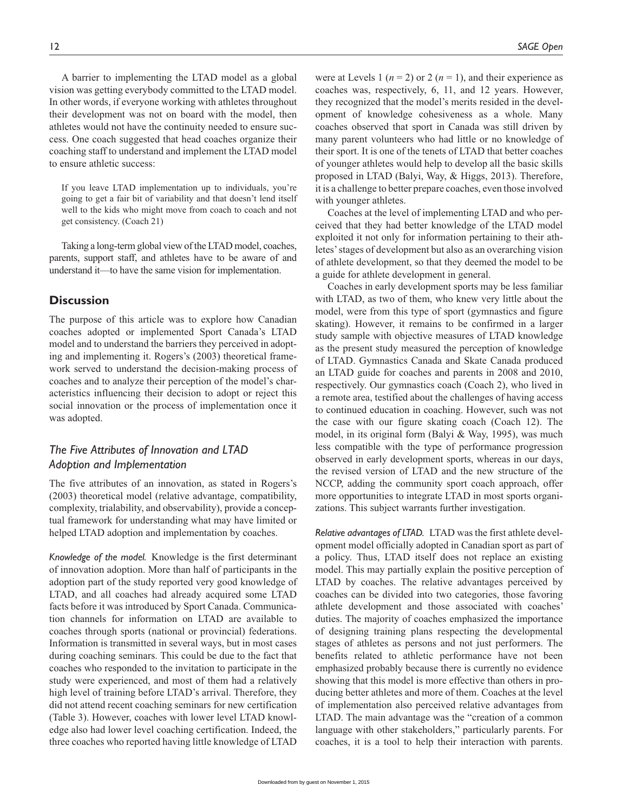A barrier to implementing the LTAD model as a global vision was getting everybody committed to the LTAD model. In other words, if everyone working with athletes throughout their development was not on board with the model, then athletes would not have the continuity needed to ensure success. One coach suggested that head coaches organize their coaching staff to understand and implement the LTAD model to ensure athletic success:

If you leave LTAD implementation up to individuals, you're going to get a fair bit of variability and that doesn't lend itself well to the kids who might move from coach to coach and not get consistency. (Coach 21)

Taking a long-term global view of the LTAD model, coaches, parents, support staff, and athletes have to be aware of and understand it—to have the same vision for implementation.

#### **Discussion**

The purpose of this article was to explore how Canadian coaches adopted or implemented Sport Canada's LTAD model and to understand the barriers they perceived in adopting and implementing it. Rogers's (2003) theoretical framework served to understand the decision-making process of coaches and to analyze their perception of the model's characteristics influencing their decision to adopt or reject this social innovation or the process of implementation once it was adopted.

## *The Five Attributes of Innovation and LTAD Adoption and Implementation*

The five attributes of an innovation, as stated in Rogers's (2003) theoretical model (relative advantage, compatibility, complexity, trialability, and observability), provide a conceptual framework for understanding what may have limited or helped LTAD adoption and implementation by coaches.

*Knowledge of the model.* Knowledge is the first determinant of innovation adoption. More than half of participants in the adoption part of the study reported very good knowledge of LTAD, and all coaches had already acquired some LTAD facts before it was introduced by Sport Canada. Communication channels for information on LTAD are available to coaches through sports (national or provincial) federations. Information is transmitted in several ways, but in most cases during coaching seminars. This could be due to the fact that coaches who responded to the invitation to participate in the study were experienced, and most of them had a relatively high level of training before LTAD's arrival. Therefore, they did not attend recent coaching seminars for new certification (Table 3). However, coaches with lower level LTAD knowledge also had lower level coaching certification. Indeed, the three coaches who reported having little knowledge of LTAD

were at Levels 1 ( $n = 2$ ) or 2 ( $n = 1$ ), and their experience as coaches was, respectively, 6, 11, and 12 years. However, they recognized that the model's merits resided in the development of knowledge cohesiveness as a whole. Many coaches observed that sport in Canada was still driven by many parent volunteers who had little or no knowledge of their sport. It is one of the tenets of LTAD that better coaches of younger athletes would help to develop all the basic skills proposed in LTAD (Balyi, Way, & Higgs, 2013). Therefore, it is a challenge to better prepare coaches, even those involved with younger athletes.

Coaches at the level of implementing LTAD and who perceived that they had better knowledge of the LTAD model exploited it not only for information pertaining to their athletes' stages of development but also as an overarching vision of athlete development, so that they deemed the model to be a guide for athlete development in general.

Coaches in early development sports may be less familiar with LTAD, as two of them, who knew very little about the model, were from this type of sport (gymnastics and figure skating). However, it remains to be confirmed in a larger study sample with objective measures of LTAD knowledge as the present study measured the perception of knowledge of LTAD. Gymnastics Canada and Skate Canada produced an LTAD guide for coaches and parents in 2008 and 2010, respectively. Our gymnastics coach (Coach 2), who lived in a remote area, testified about the challenges of having access to continued education in coaching. However, such was not the case with our figure skating coach (Coach 12). The model, in its original form (Balyi & Way, 1995), was much less compatible with the type of performance progression observed in early development sports, whereas in our days, the revised version of LTAD and the new structure of the NCCP, adding the community sport coach approach, offer more opportunities to integrate LTAD in most sports organizations. This subject warrants further investigation.

*Relative advantages of LTAD.* LTAD was the first athlete development model officially adopted in Canadian sport as part of a policy. Thus, LTAD itself does not replace an existing model. This may partially explain the positive perception of LTAD by coaches. The relative advantages perceived by coaches can be divided into two categories, those favoring athlete development and those associated with coaches' duties. The majority of coaches emphasized the importance of designing training plans respecting the developmental stages of athletes as persons and not just performers. The benefits related to athletic performance have not been emphasized probably because there is currently no evidence showing that this model is more effective than others in producing better athletes and more of them. Coaches at the level of implementation also perceived relative advantages from LTAD. The main advantage was the "creation of a common language with other stakeholders," particularly parents. For coaches, it is a tool to help their interaction with parents.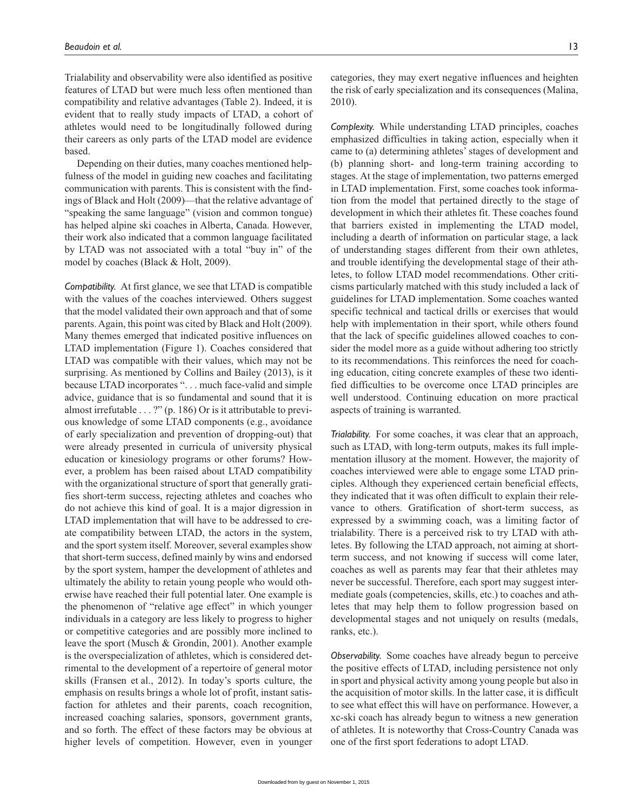Trialability and observability were also identified as positive features of LTAD but were much less often mentioned than compatibility and relative advantages (Table 2). Indeed, it is evident that to really study impacts of LTAD, a cohort of athletes would need to be longitudinally followed during their careers as only parts of the LTAD model are evidence based.

Depending on their duties, many coaches mentioned helpfulness of the model in guiding new coaches and facilitating communication with parents. This is consistent with the findings of Black and Holt (2009)—that the relative advantage of "speaking the same language" (vision and common tongue) has helped alpine ski coaches in Alberta, Canada. However, their work also indicated that a common language facilitated by LTAD was not associated with a total "buy in" of the model by coaches (Black & Holt, 2009).

*Compatibility.* At first glance, we see that LTAD is compatible with the values of the coaches interviewed. Others suggest that the model validated their own approach and that of some parents. Again, this point was cited by Black and Holt (2009). Many themes emerged that indicated positive influences on LTAD implementation (Figure 1). Coaches considered that LTAD was compatible with their values, which may not be surprising. As mentioned by Collins and Bailey (2013), is it because LTAD incorporates ". . . much face-valid and simple advice, guidance that is so fundamental and sound that it is almost irrefutable . . . ?" (p. 186) Or is it attributable to previous knowledge of some LTAD components (e.g., avoidance of early specialization and prevention of dropping-out) that were already presented in curricula of university physical education or kinesiology programs or other forums? However, a problem has been raised about LTAD compatibility with the organizational structure of sport that generally gratifies short-term success, rejecting athletes and coaches who do not achieve this kind of goal. It is a major digression in LTAD implementation that will have to be addressed to create compatibility between LTAD, the actors in the system, and the sport system itself. Moreover, several examples show that short-term success, defined mainly by wins and endorsed by the sport system, hamper the development of athletes and ultimately the ability to retain young people who would otherwise have reached their full potential later. One example is the phenomenon of "relative age effect" in which younger individuals in a category are less likely to progress to higher or competitive categories and are possibly more inclined to leave the sport (Musch & Grondin, 2001). Another example is the overspecialization of athletes, which is considered detrimental to the development of a repertoire of general motor skills (Fransen et al., 2012). In today's sports culture, the emphasis on results brings a whole lot of profit, instant satisfaction for athletes and their parents, coach recognition, increased coaching salaries, sponsors, government grants, and so forth. The effect of these factors may be obvious at higher levels of competition. However, even in younger

categories, they may exert negative influences and heighten the risk of early specialization and its consequences (Malina, 2010).

*Complexity.* While understanding LTAD principles, coaches emphasized difficulties in taking action, especially when it came to (a) determining athletes' stages of development and (b) planning short- and long-term training according to stages. At the stage of implementation, two patterns emerged in LTAD implementation. First, some coaches took information from the model that pertained directly to the stage of development in which their athletes fit. These coaches found that barriers existed in implementing the LTAD model, including a dearth of information on particular stage, a lack of understanding stages different from their own athletes, and trouble identifying the developmental stage of their athletes, to follow LTAD model recommendations. Other criticisms particularly matched with this study included a lack of guidelines for LTAD implementation. Some coaches wanted specific technical and tactical drills or exercises that would help with implementation in their sport, while others found that the lack of specific guidelines allowed coaches to consider the model more as a guide without adhering too strictly to its recommendations. This reinforces the need for coaching education, citing concrete examples of these two identified difficulties to be overcome once LTAD principles are well understood. Continuing education on more practical aspects of training is warranted.

*Trialability.* For some coaches, it was clear that an approach, such as LTAD, with long-term outputs, makes its full implementation illusory at the moment. However, the majority of coaches interviewed were able to engage some LTAD principles. Although they experienced certain beneficial effects, they indicated that it was often difficult to explain their relevance to others. Gratification of short-term success, as expressed by a swimming coach, was a limiting factor of trialability. There is a perceived risk to try LTAD with athletes. By following the LTAD approach, not aiming at shortterm success, and not knowing if success will come later, coaches as well as parents may fear that their athletes may never be successful. Therefore, each sport may suggest intermediate goals (competencies, skills, etc.) to coaches and athletes that may help them to follow progression based on developmental stages and not uniquely on results (medals, ranks, etc.).

*Observability.* Some coaches have already begun to perceive the positive effects of LTAD, including persistence not only in sport and physical activity among young people but also in the acquisition of motor skills. In the latter case, it is difficult to see what effect this will have on performance. However, a xc-ski coach has already begun to witness a new generation of athletes. It is noteworthy that Cross-Country Canada was one of the first sport federations to adopt LTAD.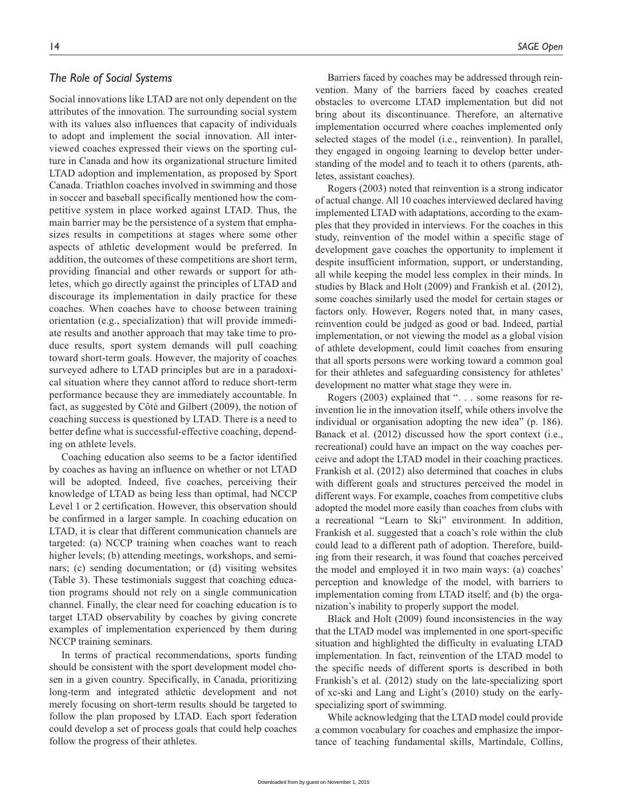#### *The Role of Social Systems*

Social innovations like LTAD are not only dependent on the attributes of the innovation. The surrounding social system with its values also influences that capacity of individuals to adopt and implement the social innovation. All interviewed coaches expressed their views on the sporting culture in Canada and how its organizational structure limited LTAD adoption and implementation, as proposed by Sport Canada. Triathlon coaches involved in swimming and those in soccer and baseball specifically mentioned how the competitive system in place worked against LTAD. Thus, the main barrier may be the persistence of a system that emphasizes results in competitions at stages where some other aspects of athletic development would be preferred. In addition, the outcomes of these competitions are short term, providing financial and other rewards or support for athletes, which go directly against the principles of LTAD and discourage its implementation in daily practice for these coaches. When coaches have to choose between training orientation (e.g., specialization) that will provide immediate results and another approach that may take time to produce results, sport system demands will pull coaching toward short-term goals. However, the majority of coaches surveyed adhere to LTAD principles but are in a paradoxical situation where they cannot afford to reduce short-term performance because they are immediately accountable. In fact, as suggested by Côté and Gilbert (2009), the notion of coaching success is questioned by LTAD. There is a need to better define what is successful-effective coaching, depending on athlete levels.

Coaching education also seems to be a factor identified by coaches as having an influence on whether or not LTAD will be adopted. Indeed, five coaches, perceiving their knowledge of LTAD as being less than optimal, had NCCP Level 1 or 2 certification. However, this observation should be confirmed in a larger sample. In coaching education on LTAD, it is clear that different communication channels are targeted: (a) NCCP training when coaches want to reach higher levels; (b) attending meetings, workshops, and seminars; (c) sending documentation; or (d) visiting websites (Table 3). These testimonials suggest that coaching education programs should not rely on a single communication channel. Finally, the clear need for coaching education is to target LTAD observability by coaches by giving concrete examples of implementation experienced by them during NCCP training seminars.

In terms of practical recommendations, sports funding should be consistent with the sport development model chosen in a given country. Specifically, in Canada, prioritizing long-term and integrated athletic development and not merely focusing on short-term results should be targeted to follow the plan proposed by LTAD. Each sport federation could develop a set of process goals that could help coaches follow the progress of their athletes.

Barriers faced by coaches may be addressed through reinvention. Many of the barriers faced by coaches created obstacles to overcome LTAD implementation but did not bring about its discontinuance. Therefore, an alternative implementation occurred where coaches implemented only selected stages of the model (i.e., reinvention). In parallel, they engaged in ongoing learning to develop better understanding of the model and to teach it to others (parents, athletes, assistant coaches).

Rogers (2003) noted that reinvention is a strong indicator of actual change. All 10 coaches interviewed declared having implemented LTAD with adaptations, according to the examples that they provided in interviews. For the coaches in this study, reinvention of the model within a specific stage of development gave coaches the opportunity to implement it despite insufficient information, support, or understanding, all while keeping the model less complex in their minds. In studies by Black and Holt (2009) and Frankish et al. (2012), some coaches similarly used the model for certain stages or factors only. However, Rogers noted that, in many cases, reinvention could be judged as good or bad. Indeed, partial implementation, or not viewing the model as a global vision of athlete development, could limit coaches from ensuring that all sports persons were working toward a common goal for their athletes and safeguarding consistency for athletes' development no matter what stage they were in.

Rogers (2003) explained that ". . . some reasons for reinvention lie in the innovation itself, while others involve the individual or organisation adopting the new idea" (p. 186). Banack et al. (2012) discussed how the sport context (i.e., recreational) could have an impact on the way coaches perceive and adopt the LTAD model in their coaching practices. Frankish et al. (2012) also determined that coaches in clubs with different goals and structures perceived the model in different ways. For example, coaches from competitive clubs adopted the model more easily than coaches from clubs with a recreational "Learn to Ski" environment. In addition, Frankish et al. suggested that a coach's role within the club could lead to a different path of adoption. Therefore, building from their research, it was found that coaches perceived the model and employed it in two main ways: (a) coaches' perception and knowledge of the model, with barriers to implementation coming from LTAD itself; and (b) the organization's inability to properly support the model.

Black and Holt (2009) found inconsistencies in the way that the LTAD model was implemented in one sport-specific situation and highlighted the difficulty in evaluating LTAD implementation. In fact, reinvention of the LTAD model to the specific needs of different sports is described in both Frankish's et al. (2012) study on the late-specializing sport of xc-ski and Lang and Light's (2010) study on the earlyspecializing sport of swimming.

While acknowledging that the LTAD model could provide a common vocabulary for coaches and emphasize the importance of teaching fundamental skills, Martindale, Collins,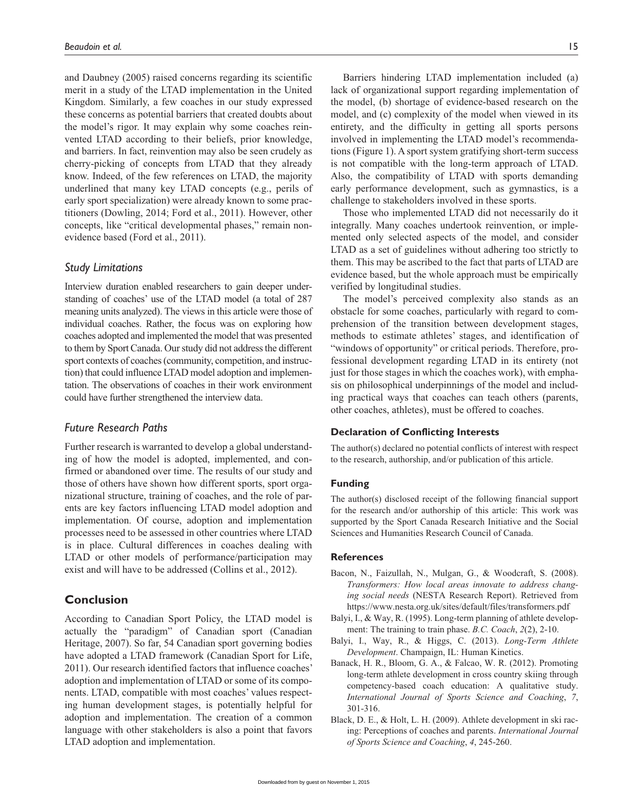and Daubney (2005) raised concerns regarding its scientific merit in a study of the LTAD implementation in the United Kingdom. Similarly, a few coaches in our study expressed these concerns as potential barriers that created doubts about the model's rigor. It may explain why some coaches reinvented LTAD according to their beliefs, prior knowledge, and barriers. In fact, reinvention may also be seen crudely as cherry-picking of concepts from LTAD that they already know. Indeed, of the few references on LTAD, the majority underlined that many key LTAD concepts (e.g., perils of early sport specialization) were already known to some practitioners (Dowling, 2014; Ford et al., 2011). However, other concepts, like "critical developmental phases," remain nonevidence based (Ford et al., 2011).

#### *Study Limitations*

Interview duration enabled researchers to gain deeper understanding of coaches' use of the LTAD model (a total of 287 meaning units analyzed). The views in this article were those of individual coaches. Rather, the focus was on exploring how coaches adopted and implemented the model that was presented to them by Sport Canada. Our study did not address the different sport contexts of coaches (community, competition, and instruction) that could influence LTAD model adoption and implementation. The observations of coaches in their work environment could have further strengthened the interview data.

#### *Future Research Paths*

Further research is warranted to develop a global understanding of how the model is adopted, implemented, and confirmed or abandoned over time. The results of our study and those of others have shown how different sports, sport organizational structure, training of coaches, and the role of parents are key factors influencing LTAD model adoption and implementation. Of course, adoption and implementation processes need to be assessed in other countries where LTAD is in place. Cultural differences in coaches dealing with LTAD or other models of performance/participation may exist and will have to be addressed (Collins et al., 2012).

#### **Conclusion**

According to Canadian Sport Policy, the LTAD model is actually the "paradigm" of Canadian sport (Canadian Heritage, 2007). So far, 54 Canadian sport governing bodies have adopted a LTAD framework (Canadian Sport for Life, 2011). Our research identified factors that influence coaches' adoption and implementation of LTAD or some of its components. LTAD, compatible with most coaches' values respecting human development stages, is potentially helpful for adoption and implementation. The creation of a common language with other stakeholders is also a point that favors LTAD adoption and implementation.

Barriers hindering LTAD implementation included (a) lack of organizational support regarding implementation of the model, (b) shortage of evidence-based research on the model, and (c) complexity of the model when viewed in its entirety, and the difficulty in getting all sports persons involved in implementing the LTAD model's recommendations (Figure 1). A sport system gratifying short-term success is not compatible with the long-term approach of LTAD. Also, the compatibility of LTAD with sports demanding early performance development, such as gymnastics, is a challenge to stakeholders involved in these sports.

Those who implemented LTAD did not necessarily do it integrally. Many coaches undertook reinvention, or implemented only selected aspects of the model, and consider LTAD as a set of guidelines without adhering too strictly to them. This may be ascribed to the fact that parts of LTAD are evidence based, but the whole approach must be empirically verified by longitudinal studies.

The model's perceived complexity also stands as an obstacle for some coaches, particularly with regard to comprehension of the transition between development stages, methods to estimate athletes' stages, and identification of "windows of opportunity" or critical periods. Therefore, professional development regarding LTAD in its entirety (not just for those stages in which the coaches work), with emphasis on philosophical underpinnings of the model and including practical ways that coaches can teach others (parents, other coaches, athletes), must be offered to coaches.

#### **Declaration of Conflicting Interests**

The author(s) declared no potential conflicts of interest with respect to the research, authorship, and/or publication of this article.

#### **Funding**

The author(s) disclosed receipt of the following financial support for the research and/or authorship of this article: This work was supported by the Sport Canada Research Initiative and the Social Sciences and Humanities Research Council of Canada.

#### **References**

- Bacon, N., Faizullah, N., Mulgan, G., & Woodcraft, S. (2008). *Transformers: How local areas innovate to address changing social needs* (NESTA Research Report). Retrieved from https://www.nesta.org.uk/sites/default/files/transformers.pdf
- Balyi, I., & Way, R. (1995). Long-term planning of athlete development: The training to train phase. *B.C. Coach*, *2*(2), 2-10.
- Balyi, I., Way, R., & Higgs, C. (2013). *Long-Term Athlete Development*. Champaign, IL: Human Kinetics.
- Banack, H. R., Bloom, G. A., & Falcao, W. R. (2012). Promoting long-term athlete development in cross country skiing through competency-based coach education: A qualitative study. *International Journal of Sports Science and Coaching*, *7*, 301-316.
- Black, D. E., & Holt, L. H. (2009). Athlete development in ski racing: Perceptions of coaches and parents. *International Journal of Sports Science and Coaching*, *4*, 245-260.